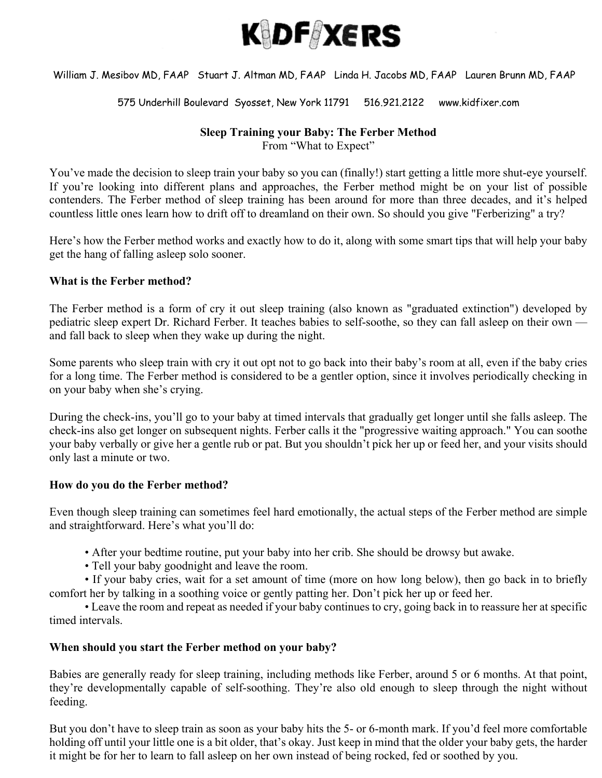

# William J. Mesibov MD, FAAP Stuart J. Altman MD, FAAP Linda H. Jacobs MD, FAAP Lauren Brunn MD, FAAP

#### 575 Underhill Boulevard Syosset, New York 11791 516.921.2122 www.kidfixer.com

### **Sleep Training your Baby: The Ferber Method**

From "What to Expect"

You've made the decision to sleep train your baby so you can (finally!) start getting a little more shut-eye yourself. If you're looking into different plans and approaches, the Ferber method might be on your list of possible contenders. The Ferber method of sleep training has been around for more than three decades, and it's helped countless little ones learn how to drift off to dreamland on their own. So should you give "Ferberizing" a try?

Here's how the Ferber method works and exactly how to do it, along with some smart tips that will help your baby get the hang of falling asleep solo sooner.

### **What is the Ferber method?**

The Ferber method is a form of cry it out sleep training (also known as "graduated extinction") developed by pediatric sleep expert Dr. Richard Ferber. It teaches babies to self-soothe, so they can fall asleep on their own and fall back to sleep when they wake up during the night.

Some parents who sleep train with cry it out opt not to go back into their baby's room at all, even if the baby cries for a long time. The Ferber method is considered to be a gentler option, since it involves periodically checking in on your baby when she's crying.

During the check-ins, you'll go to your baby at timed intervals that gradually get longer until she falls asleep. The check-ins also get longer on subsequent nights. Ferber calls it the "progressive waiting approach." You can soothe your baby verbally or give her a gentle rub or pat. But you shouldn't pick her up or feed her, and your visits should only last a minute or two.

#### **How do you do the Ferber method?**

Even though sleep training can sometimes feel hard emotionally, the actual steps of the Ferber method are simple and straightforward. Here's what you'll do:

- After your bedtime routine, put your baby into her crib. She should be drowsy but awake.
- Tell your baby goodnight and leave the room.

• If your baby cries, wait for a set amount of time (more on how long below), then go back in to briefly comfort her by talking in a soothing voice or gently patting her. Don't pick her up or feed her.

• Leave the room and repeat as needed if your baby continues to cry, going back in to reassure her at specific timed intervals.

# **When should you start the Ferber method on your baby?**

Babies are generally ready for sleep training, including methods like Ferber, around 5 or 6 months. At that point, they're developmentally capable of self-soothing. They're also old enough to sleep through the night without feeding.

But you don't have to sleep train as soon as your baby hits the 5- or 6-month mark. If you'd feel more comfortable holding off until your little one is a bit older, that's okay. Just keep in mind that the older your baby gets, the harder it might be for her to learn to fall asleep on her own instead of being rocked, fed or soothed by you.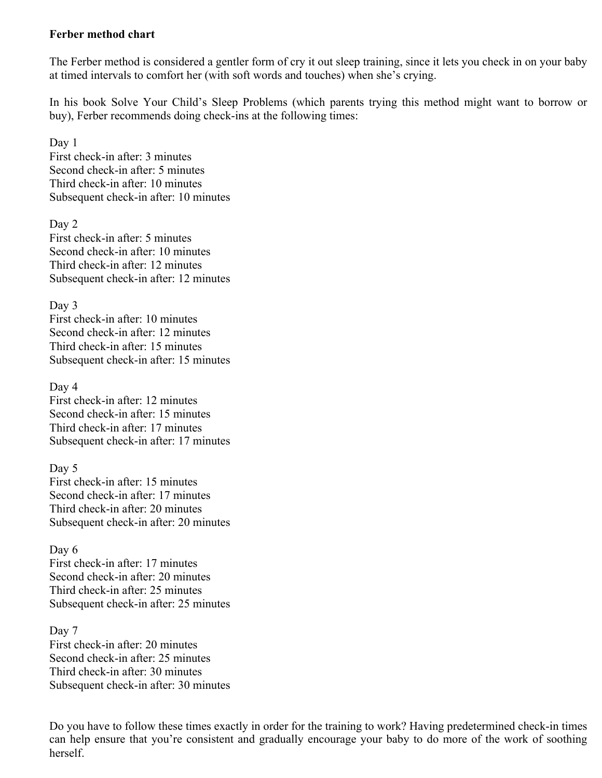### **Ferber method chart**

The Ferber method is considered a gentler form of cry it out sleep training, since it lets you check in on your baby at timed intervals to comfort her (with soft words and touches) when she's crying.

In his book Solve Your Child's Sleep Problems (which parents trying this method might want to borrow or buy), Ferber recommends doing check-ins at the following times:

Day 1 First check-in after: 3 minutes Second check-in after: 5 minutes Third check-in after: 10 minutes Subsequent check-in after: 10 minutes

Day 2 First check-in after: 5 minutes Second check-in after: 10 minutes Third check-in after: 12 minutes Subsequent check-in after: 12 minutes

Day 3 First check-in after: 10 minutes Second check-in after: 12 minutes Third check-in after: 15 minutes Subsequent check-in after: 15 minutes

Day 4 First check-in after: 12 minutes Second check-in after: 15 minutes Third check-in after: 17 minutes Subsequent check-in after: 17 minutes

Day 5 First check-in after: 15 minutes Second check-in after: 17 minutes Third check-in after: 20 minutes Subsequent check-in after: 20 minutes

Day 6 First check-in after: 17 minutes Second check-in after: 20 minutes Third check-in after: 25 minutes Subsequent check-in after: 25 minutes

Day 7 First check-in after: 20 minutes Second check-in after: 25 minutes Third check-in after: 30 minutes Subsequent check-in after: 30 minutes

Do you have to follow these times exactly in order for the training to work? Having predetermined check-in times can help ensure that you're consistent and gradually encourage your baby to do more of the work of soothing herself.